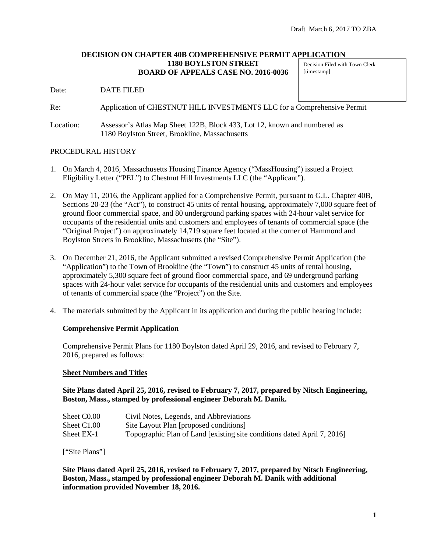#### **DECISION ON CHAPTER 40B COMPREHENSIVE PERMIT APPLICATION 1180 BOYLSTON STREET BOARD OF APPEALS CASE NO. 2016-0036** Decision Filed with Town Clerk [timestamp]

Date: DATE FILED

Re: Application of CHESTNUT HILL INVESTMENTS LLC for a Comprehensive Permit

Location: Assessor's Atlas Map Sheet 122B, Block 433, Lot 12, known and numbered as 1180 Boylston Street, Brookline, Massachusetts

#### PROCEDURAL HISTORY

- 1. On March 4, 2016, Massachusetts Housing Finance Agency ("MassHousing") issued a Project Eligibility Letter ("PEL") to Chestnut Hill Investments LLC (the "Applicant").
- 2. On May 11, 2016, the Applicant applied for a Comprehensive Permit, pursuant to G.L. Chapter 40B, Sections 20-23 (the "Act"), to construct 45 units of rental housing, approximately 7,000 square feet of ground floor commercial space, and 80 underground parking spaces with 24-hour valet service for occupants of the residential units and customers and employees of tenants of commercial space (the "Original Project") on approximately 14,719 square feet located at the corner of Hammond and Boylston Streets in Brookline, Massachusetts (the "Site").
- 3. On December 21, 2016, the Applicant submitted a revised Comprehensive Permit Application (the "Application") to the Town of Brookline (the "Town") to construct 45 units of rental housing, approximately 5,300 square feet of ground floor commercial space, and 69 underground parking spaces with 24-hour valet service for occupants of the residential units and customers and employees of tenants of commercial space (the "Project") on the Site.
- 4. The materials submitted by the Applicant in its application and during the public hearing include:

### **Comprehensive Permit Application**

Comprehensive Permit Plans for 1180 Boylston dated April 29, 2016, and revised to February 7, 2016, prepared as follows:

#### **Sheet Numbers and Titles**

**Site Plans dated April 25, 2016, revised to February 7, 2017, prepared by Nitsch Engineering, Boston, Mass., stamped by professional engineer Deborah M. Danik.**

| Sheet C <sub>0.00</sub> | Civil Notes, Legends, and Abbreviations                                 |
|-------------------------|-------------------------------------------------------------------------|
| Sheet C1.00             | Site Layout Plan [proposed conditions]                                  |
| Sheet EX-1              | Topographic Plan of Land [existing site conditions dated April 7, 2016] |

["Site Plans"]

**Site Plans dated April 25, 2016, revised to February 7, 2017, prepared by Nitsch Engineering, Boston, Mass., stamped by professional engineer Deborah M. Danik with additional information provided November 18, 2016.**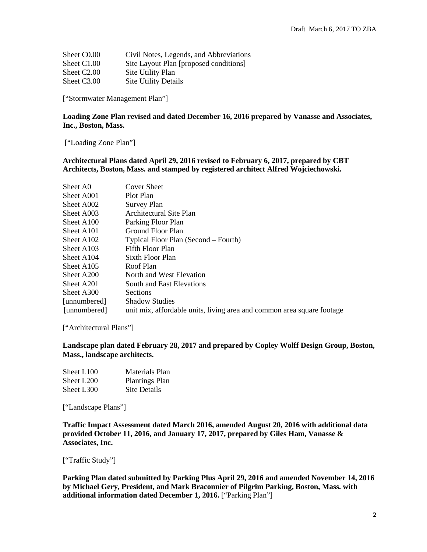| Sheet C <sub>0.00</sub> | Civil Notes, Legends, and Abbreviations |
|-------------------------|-----------------------------------------|
| Sheet C1.00             | Site Layout Plan [proposed conditions]  |
| Sheet C <sub>2.00</sub> | Site Utility Plan                       |
| Sheet C3.00             | <b>Site Utility Details</b>             |

["Stormwater Management Plan"]

#### **Loading Zone Plan revised and dated December 16, 2016 prepared by Vanasse and Associates, Inc., Boston, Mass.**

["Loading Zone Plan"]

#### **Architectural Plans dated April 29, 2016 revised to February 6, 2017, prepared by CBT Architects, Boston, Mass. and stamped by registered architect Alfred Wojciechowski.**

| Sheet A0               | Cover Sheet                                                            |
|------------------------|------------------------------------------------------------------------|
| Sheet A001             | Plot Plan                                                              |
| Sheet A002             | Survey Plan                                                            |
| Sheet A003             | Architectural Site Plan                                                |
| Sheet A100             | Parking Floor Plan                                                     |
| Sheet A <sub>101</sub> | Ground Floor Plan                                                      |
| Sheet A <sub>102</sub> | Typical Floor Plan (Second – Fourth)                                   |
| Sheet A <sub>103</sub> | Fifth Floor Plan                                                       |
| Sheet A <sub>104</sub> | Sixth Floor Plan                                                       |
| Sheet A <sub>105</sub> | Roof Plan                                                              |
| Sheet A200             | North and West Elevation                                               |
| Sheet A201             | South and East Elevations                                              |
| Sheet A300             | <b>Sections</b>                                                        |
| [unnumbered]           | <b>Shadow Studies</b>                                                  |
| [unnumbered]           | unit mix, affordable units, living area and common area square footage |

["Architectural Plans"]

## **Landscape plan dated February 28, 2017 and prepared by Copley Wolff Design Group, Boston, Mass., landscape architects.**

| Sheet L <sub>100</sub> | Materials Plan        |
|------------------------|-----------------------|
| Sheet L200             | <b>Plantings Plan</b> |
| Sheet L300             | Site Details          |

["Landscape Plans"]

**Traffic Impact Assessment dated March 2016, amended August 20, 2016 with additional data provided October 11, 2016, and January 17, 2017, prepared by Giles Ham, Vanasse & Associates, Inc.** 

["Traffic Study"]

**Parking Plan dated submitted by Parking Plus April 29, 2016 and amended November 14, 2016 by Michael Gery, President, and Mark Braconnier of Pilgrim Parking, Boston, Mass. with additional information dated December 1, 2016.** ["Parking Plan"]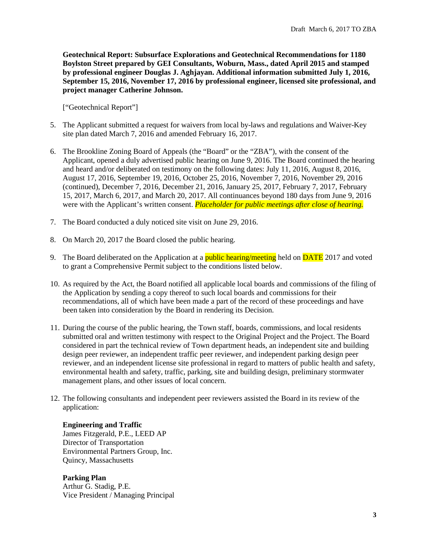**Geotechnical Report: Subsurface Explorations and Geotechnical Recommendations for 1180 Boylston Street prepared by GEI Consultants, Woburn, Mass., dated April 2015 and stamped by professional engineer Douglas J. Aghjayan. Additional information submitted July 1, 2016, September 15, 2016, November 17, 2016 by professional engineer, licensed site professional, and project manager Catherine Johnson.**

["Geotechnical Report"]

- 5. The Applicant submitted a request for waivers from local by-laws and regulations and Waiver-Key site plan dated March 7, 2016 and amended February 16, 2017.
- 6. The Brookline Zoning Board of Appeals (the "Board" or the "ZBA"), with the consent of the Applicant, opened a duly advertised public hearing on June 9, 2016. The Board continued the hearing and heard and/or deliberated on testimony on the following dates: July 11, 2016, August 8, 2016, August 17, 2016, September 19, 2016, October 25, 2016, November 7, 2016, November 29, 2016 (continued), December 7, 2016, December 21, 2016, January 25, 2017, February 7, 2017, February 15, 2017, March 6, 2017, and March 20, 2017. All continuances beyond 180 days from June 9, 2016 were with the Applicant's written consent. *Placeholder for public meetings after close of hearing.*
- 7. The Board conducted a duly noticed site visit on June 29, 2016.
- 8. On March 20, 2017 the Board closed the public hearing.
- 9. The Board deliberated on the Application at a **public hearing/meeting** held on **DATE** 2017 and voted to grant a Comprehensive Permit subject to the conditions listed below.
- 10. As required by the Act, the Board notified all applicable local boards and commissions of the filing of the Application by sending a copy thereof to such local boards and commissions for their recommendations, all of which have been made a part of the record of these proceedings and have been taken into consideration by the Board in rendering its Decision.
- 11. During the course of the public hearing, the Town staff, boards, commissions, and local residents submitted oral and written testimony with respect to the Original Project and the Project. The Board considered in part the technical review of Town department heads, an independent site and building design peer reviewer, an independent traffic peer reviewer, and independent parking design peer reviewer, and an independent license site professional in regard to matters of public health and safety, environmental health and safety, traffic, parking, site and building design, preliminary stormwater management plans, and other issues of local concern.
- 12. The following consultants and independent peer reviewers assisted the Board in its review of the application:

**Engineering and Traffic** James Fitzgerald, P.E., LEED AP Director of Transportation Environmental Partners Group, Inc. Quincy, Massachusetts

**Parking Plan** Arthur G. Stadig, P.E. Vice President / Managing Principal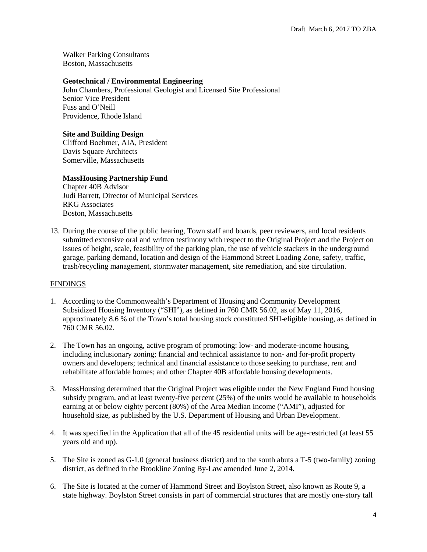Walker Parking Consultants Boston, Massachusetts

## **Geotechnical / Environmental Engineering**

John Chambers, Professional Geologist and Licensed Site Professional Senior Vice President Fuss and O'Neill Providence, Rhode Island

# **Site and Building Design**

Clifford Boehmer, AIA, President Davis Square Architects Somerville, Massachusetts

# **MassHousing Partnership Fund**

Chapter 40B Advisor Judi Barrett, Director of Municipal Services RKG Associates Boston, Massachusetts

13. During the course of the public hearing, Town staff and boards, peer reviewers, and local residents submitted extensive oral and written testimony with respect to the Original Project and the Project on issues of height, scale, feasibility of the parking plan, the use of vehicle stackers in the underground garage, parking demand, location and design of the Hammond Street Loading Zone, safety, traffic, trash/recycling management, stormwater management, site remediation, and site circulation.

### **FINDINGS**

- 1. According to the Commonwealth's Department of Housing and Community Development Subsidized Housing Inventory ("SHI"), as defined in 760 CMR 56.02, as of May 11, 2016, approximately 8.6 % of the Town's total housing stock constituted SHI-eligible housing, as defined in 760 CMR 56.02.
- 2. The Town has an ongoing, active program of promoting: low- and moderate-income housing, including inclusionary zoning; financial and technical assistance to non- and for-profit property owners and developers; technical and financial assistance to those seeking to purchase, rent and rehabilitate affordable homes; and other Chapter 40B affordable housing developments.
- 3. MassHousing determined that the Original Project was eligible under the New England Fund housing subsidy program, and at least twenty-five percent (25%) of the units would be available to households earning at or below eighty percent (80%) of the Area Median Income ("AMI"), adjusted for household size, as published by the U.S. Department of Housing and Urban Development.
- 4. It was specified in the Application that all of the 45 residential units will be age-restricted (at least 55 years old and up).
- 5. The Site is zoned as G-1.0 (general business district) and to the south abuts a T-5 (two-family) zoning district, as defined in the Brookline Zoning By-Law amended June 2, 2014.
- 6. The Site is located at the corner of Hammond Street and Boylston Street, also known as Route 9, a state highway. Boylston Street consists in part of commercial structures that are mostly one-story tall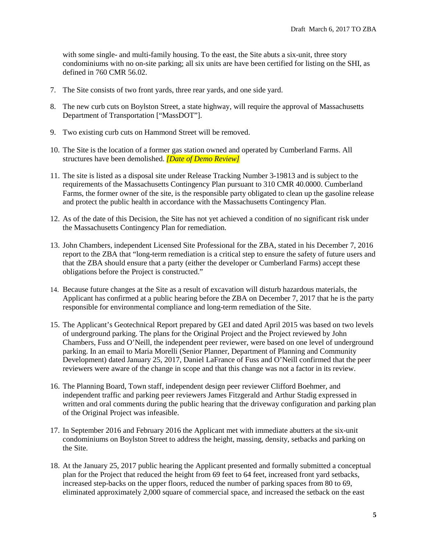with some single- and multi-family housing. To the east, the Site abuts a six-unit, three story condominiums with no on-site parking; all six units are have been certified for listing on the SHI, as defined in 760 CMR 56.02.

- 7. The Site consists of two front yards, three rear yards, and one side yard.
- 8. The new curb cuts on Boylston Street, a state highway, will require the approval of Massachusetts Department of Transportation ["MassDOT"].
- 9. Two existing curb cuts on Hammond Street will be removed.
- 10. The Site is the location of a former gas station owned and operated by Cumberland Farms. All structures have been demolished. *[Date of Demo Review]*
- 11. The site is listed as a disposal site under Release Tracking Number 3-19813 and is subject to the requirements of the Massachusetts Contingency Plan pursuant to 310 CMR 40.0000. Cumberland Farms, the former owner of the site, is the responsible party obligated to clean up the gasoline release and protect the public health in accordance with the Massachusetts Contingency Plan.
- 12. As of the date of this Decision, the Site has not yet achieved a condition of no significant risk under the Massachusetts Contingency Plan for remediation.
- 13. John Chambers, independent Licensed Site Professional for the ZBA, stated in his December 7, 2016 report to the ZBA that "long-term remediation is a critical step to ensure the safety of future users and that the ZBA should ensure that a party (either the developer or Cumberland Farms) accept these obligations before the Project is constructed."
- 14. Because future changes at the Site as a result of excavation will disturb hazardous materials, the Applicant has confirmed at a public hearing before the ZBA on December 7, 2017 that he is the party responsible for environmental compliance and long-term remediation of the Site.
- 15. The Applicant's Geotechnical Report prepared by GEI and dated April 2015 was based on two levels of underground parking. The plans for the Original Project and the Project reviewed by John Chambers, Fuss and O'Neill, the independent peer reviewer, were based on one level of underground parking. In an email to Maria Morelli (Senior Planner, Department of Planning and Community Development) dated January 25, 2017, Daniel LaFrance of Fuss and O'Neill confirmed that the peer reviewers were aware of the change in scope and that this change was not a factor in its review.
- 16. The Planning Board, Town staff, independent design peer reviewer Clifford Boehmer, and independent traffic and parking peer reviewers James Fitzgerald and Arthur Stadig expressed in written and oral comments during the public hearing that the driveway configuration and parking plan of the Original Project was infeasible.
- 17. In September 2016 and February 2016 the Applicant met with immediate abutters at the six-unit condominiums on Boylston Street to address the height, massing, density, setbacks and parking on the Site.
- 18. At the January 25, 2017 public hearing the Applicant presented and formally submitted a conceptual plan for the Project that reduced the height from 69 feet to 64 feet, increased front yard setbacks, increased step-backs on the upper floors, reduced the number of parking spaces from 80 to 69, eliminated approximately 2,000 square of commercial space, and increased the setback on the east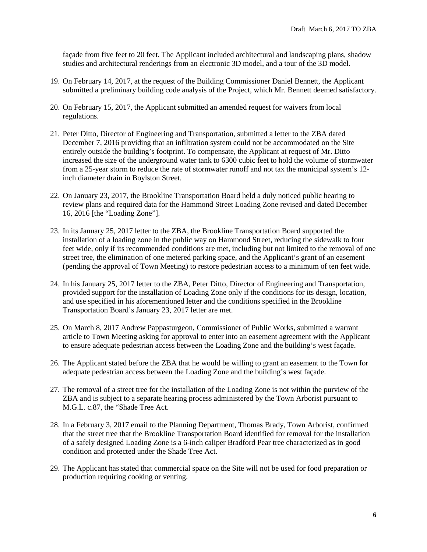façade from five feet to 20 feet. The Applicant included architectural and landscaping plans, shadow studies and architectural renderings from an electronic 3D model, and a tour of the 3D model.

- 19. On February 14, 2017, at the request of the Building Commissioner Daniel Bennett, the Applicant submitted a preliminary building code analysis of the Project, which Mr. Bennett deemed satisfactory.
- 20. On February 15, 2017, the Applicant submitted an amended request for waivers from local regulations.
- 21. Peter Ditto, Director of Engineering and Transportation, submitted a letter to the ZBA dated December 7, 2016 providing that an infiltration system could not be accommodated on the Site entirely outside the building's footprint. To compensate, the Applicant at request of Mr. Ditto increased the size of the underground water tank to 6300 cubic feet to hold the volume of stormwater from a 25-year storm to reduce the rate of stormwater runoff and not tax the municipal system's 12 inch diameter drain in Boylston Street.
- 22. On January 23, 2017, the Brookline Transportation Board held a duly noticed public hearing to review plans and required data for the Hammond Street Loading Zone revised and dated December 16, 2016 [the "Loading Zone"].
- 23. In its January 25, 2017 letter to the ZBA, the Brookline Transportation Board supported the installation of a loading zone in the public way on Hammond Street, reducing the sidewalk to four feet wide, only if its recommended conditions are met, including but not limited to the removal of one street tree, the elimination of one metered parking space, and the Applicant's grant of an easement (pending the approval of Town Meeting) to restore pedestrian access to a minimum of ten feet wide.
- 24. In his January 25, 2017 letter to the ZBA, Peter Ditto, Director of Engineering and Transportation, provided support for the installation of Loading Zone only if the conditions for its design, location, and use specified in his aforementioned letter and the conditions specified in the Brookline Transportation Board's January 23, 2017 letter are met.
- 25. On March 8, 2017 Andrew Pappasturgeon, Commissioner of Public Works, submitted a warrant article to Town Meeting asking for approval to enter into an easement agreement with the Applicant to ensure adequate pedestrian access between the Loading Zone and the building's west façade.
- 26. The Applicant stated before the ZBA that he would be willing to grant an easement to the Town for adequate pedestrian access between the Loading Zone and the building's west façade.
- 27. The removal of a street tree for the installation of the Loading Zone is not within the purview of the ZBA and is subject to a separate hearing process administered by the Town Arborist pursuant to M.G.L. c.87, the "Shade Tree Act.
- 28. In a February 3, 2017 email to the Planning Department, Thomas Brady, Town Arborist, confirmed that the street tree that the Brookline Transportation Board identified for removal for the installation of a safely designed Loading Zone is a 6-inch caliper Bradford Pear tree characterized as in good condition and protected under the Shade Tree Act.
- 29. The Applicant has stated that commercial space on the Site will not be used for food preparation or production requiring cooking or venting.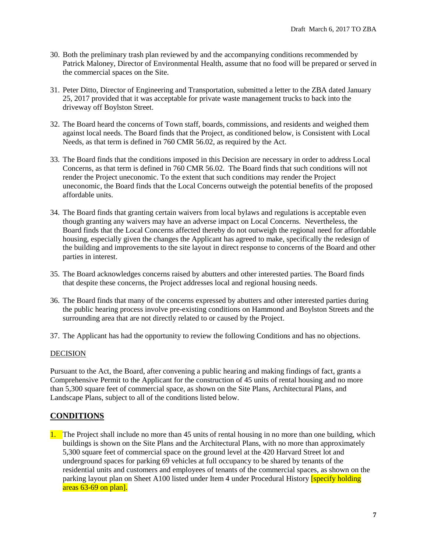- 30. Both the preliminary trash plan reviewed by and the accompanying conditions recommended by Patrick Maloney, Director of Environmental Health, assume that no food will be prepared or served in the commercial spaces on the Site.
- 31. Peter Ditto, Director of Engineering and Transportation, submitted a letter to the ZBA dated January 25, 2017 provided that it was acceptable for private waste management trucks to back into the driveway off Boylston Street.
- 32. The Board heard the concerns of Town staff, boards, commissions, and residents and weighed them against local needs. The Board finds that the Project, as conditioned below, is Consistent with Local Needs, as that term is defined in 760 CMR 56.02, as required by the Act.
- 33. The Board finds that the conditions imposed in this Decision are necessary in order to address Local Concerns, as that term is defined in 760 CMR 56.02. The Board finds that such conditions will not render the Project uneconomic. To the extent that such conditions may render the Project uneconomic, the Board finds that the Local Concerns outweigh the potential benefits of the proposed affordable units.
- 34. The Board finds that granting certain waivers from local bylaws and regulations is acceptable even though granting any waivers may have an adverse impact on Local Concerns. Nevertheless, the Board finds that the Local Concerns affected thereby do not outweigh the regional need for affordable housing, especially given the changes the Applicant has agreed to make, specifically the redesign of the building and improvements to the site layout in direct response to concerns of the Board and other parties in interest.
- 35. The Board acknowledges concerns raised by abutters and other interested parties. The Board finds that despite these concerns, the Project addresses local and regional housing needs.
- 36. The Board finds that many of the concerns expressed by abutters and other interested parties during the public hearing process involve pre-existing conditions on Hammond and Boylston Streets and the surrounding area that are not directly related to or caused by the Project.
- 37. The Applicant has had the opportunity to review the following Conditions and has no objections.

### DECISION

Pursuant to the Act, the Board, after convening a public hearing and making findings of fact, grants a Comprehensive Permit to the Applicant for the construction of 45 units of rental housing and no more than 5,300 square feet of commercial space, as shown on the Site Plans, Architectural Plans, and Landscape Plans, subject to all of the conditions listed below.

# **CONDITIONS**

1. The Project shall include no more than 45 units of rental housing in no more than one building, which buildings is shown on the Site Plans and the Architectural Plans, with no more than approximately 5,300 square feet of commercial space on the ground level at the 420 Harvard Street lot and underground spaces for parking 69 vehicles at full occupancy to be shared by tenants of the residential units and customers and employees of tenants of the commercial spaces, as shown on the parking layout plan on Sheet A100 listed under Item 4 under Procedural History **[specify holding**] areas 63-69 on plan].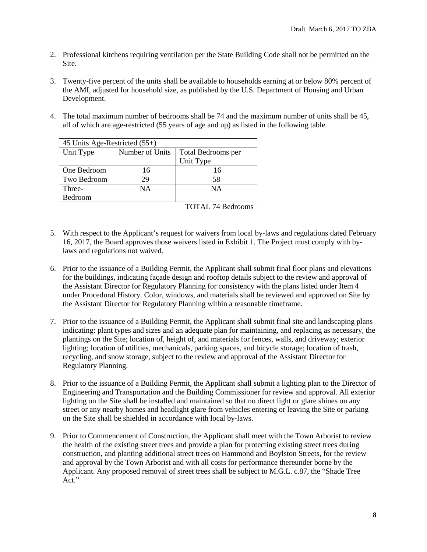- 2. Professional kitchens requiring ventilation per the State Building Code shall not be permitted on the Site.
- 3. Twenty-five percent of the units shall be available to households earning at or below 80% percent of the AMI, adjusted for household size, as published by the U.S. Department of Housing and Urban Development.
- 4. The total maximum number of bedrooms shall be 74 and the maximum number of units shall be 45, all of which are age-restricted (55 years of age and up) as listed in the following table*.*

| 45 Units Age-Restricted $(55+)$ |                 |                          |  |  |
|---------------------------------|-----------------|--------------------------|--|--|
| Unit Type                       | Number of Units | Total Bedrooms per       |  |  |
|                                 |                 | Unit Type                |  |  |
| One Bedroom                     | 16              | 16                       |  |  |
| Two Bedroom                     | 29              | 58                       |  |  |
| Three-                          | <b>NA</b>       | <b>NA</b>                |  |  |
| Bedroom                         |                 |                          |  |  |
|                                 |                 | <b>TOTAL 74 Bedrooms</b> |  |  |

- 5. With respect to the Applicant's request for waivers from local by-laws and regulations dated February 16, 2017, the Board approves those waivers listed in Exhibit 1. The Project must comply with bylaws and regulations not waived.
- 6. Prior to the issuance of a Building Permit, the Applicant shall submit final floor plans and elevations for the buildings, indicating façade design and rooftop details subject to the review and approval of the Assistant Director for Regulatory Planning for consistency with the plans listed under Item 4 under Procedural History. Color, windows, and materials shall be reviewed and approved on Site by the Assistant Director for Regulatory Planning within a reasonable timeframe.
- 7. Prior to the issuance of a Building Permit, the Applicant shall submit final site and landscaping plans indicating: plant types and sizes and an adequate plan for maintaining, and replacing as necessary, the plantings on the Site; location of, height of, and materials for fences, walls, and driveway; exterior lighting; location of utilities, mechanicals, parking spaces, and bicycle storage; location of trash, recycling, and snow storage, subject to the review and approval of the Assistant Director for Regulatory Planning.
- 8. Prior to the issuance of a Building Permit, the Applicant shall submit a lighting plan to the Director of Engineering and Transportation and the Building Commissioner for review and approval. All exterior lighting on the Site shall be installed and maintained so that no direct light or glare shines on any street or any nearby homes and headlight glare from vehicles entering or leaving the Site or parking on the Site shall be shielded in accordance with local by-laws.
- 9. Prior to Commencement of Construction, the Applicant shall meet with the Town Arborist to review the health of the existing street trees and provide a plan for protecting existing street trees during construction, and planting additional street trees on Hammond and Boylston Streets, for the review and approval by the Town Arborist and with all costs for performance thereunder borne by the Applicant. Any proposed removal of street trees shall be subject to M.G.L. c.87, the "Shade Tree Act."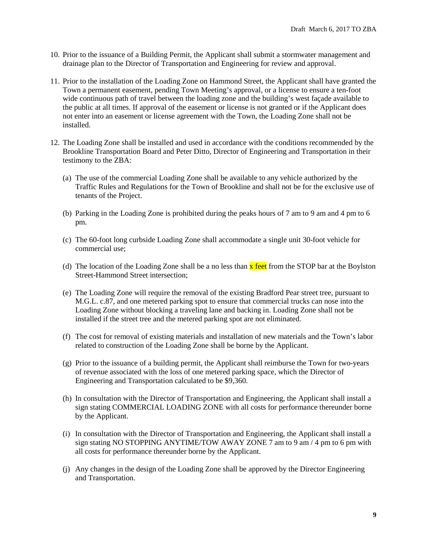- 10. Prior to the issuance of a Building Permit, the Applicant shall submit a stormwater management and drainage plan to the Director of Transportation and Engineering for review and approval.
- 11. Prior to the installation of the Loading Zone on Hammond Street, the Applicant shall have granted the Town a permanent easement, pending Town Meeting's approval, or a license to ensure a ten-foot wide continuous path of travel between the loading zone and the building's west façade available to the public at all times. If approval of the easement or license is not granted or if the Applicant does not enter into an easement or license agreement with the Town, the Loading Zone shall not be installed.
- 12. The Loading Zone shall be installed and used in accordance with the conditions recommended by the Brookline Transportation Board and Peter Ditto, Director of Engineering and Transportation in their testimony to the ZBA:
	- (a) The use of the commercial Loading Zone shall be available to any vehicle authorized by the Traffic Rules and Regulations for the Town of Brookline and shall not be for the exclusive use of tenants of the Project.
	- (b) Parking in the Loading Zone is prohibited during the peaks hours of 7 am to 9 am and 4 pm to 6 pm.
	- (c) The 60-foot long curbside Loading Zone shall accommodate a single unit 30-foot vehicle for commercial use;
	- (d) The location of the Loading Zone shall be a no less than  $\bar{x}$  feet from the STOP bar at the Boylston Street-Hammond Street intersection;
	- (e) The Loading Zone will require the removal of the existing Bradford Pear street tree, pursuant to M.G.L. c.87, and one metered parking spot to ensure that commercial trucks can nose into the Loading Zone without blocking a traveling lane and backing in. Loading Zone shall not be installed if the street tree and the metered parking spot are not eliminated.
	- (f) The cost for removal of existing materials and installation of new materials and the Town's labor related to construction of the Loading Zone shall be borne by the Applicant.
	- (g) Prior to the issuance of a building permit, the Applicant shall reimburse the Town for two-years of revenue associated with the loss of one metered parking space, which the Director of Engineering and Transportation calculated to be \$9,360.
	- (h) In consultation with the Director of Transportation and Engineering, the Applicant shall install a sign stating COMMERCIAL LOADING ZONE with all costs for performance thereunder borne by the Applicant.
	- (i) In consultation with the Director of Transportation and Engineering, the Applicant shall install a sign stating NO STOPPING ANYTIME/TOW AWAY ZONE 7 am to 9 am / 4 pm to 6 pm with all costs for performance thereunder borne by the Applicant.
	- (j) Any changes in the design of the Loading Zone shall be approved by the Director Engineering and Transportation.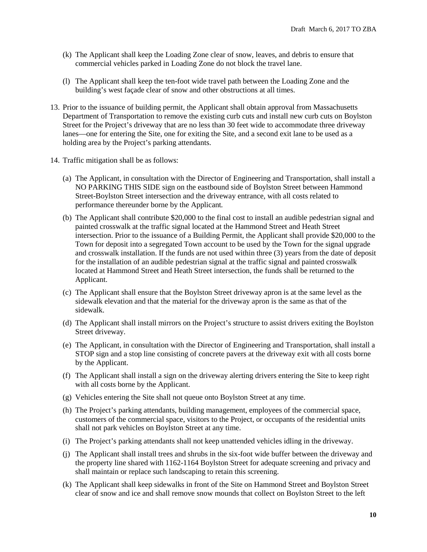- (k) The Applicant shall keep the Loading Zone clear of snow, leaves, and debris to ensure that commercial vehicles parked in Loading Zone do not block the travel lane.
- (l) The Applicant shall keep the ten-foot wide travel path between the Loading Zone and the building's west façade clear of snow and other obstructions at all times.
- 13. Prior to the issuance of building permit, the Applicant shall obtain approval from Massachusetts Department of Transportation to remove the existing curb cuts and install new curb cuts on Boylston Street for the Project's driveway that are no less than 30 feet wide to accommodate three driveway lanes—one for entering the Site, one for exiting the Site, and a second exit lane to be used as a holding area by the Project's parking attendants.
- 14. Traffic mitigation shall be as follows:
	- (a) The Applicant, in consultation with the Director of Engineering and Transportation, shall install a NO PARKING THIS SIDE sign on the eastbound side of Boylston Street between Hammond Street-Boylston Street intersection and the driveway entrance, with all costs related to performance thereunder borne by the Applicant*.*
	- (b) The Applicant shall contribute \$20,000 to the final cost to install an audible pedestrian signal and painted crosswalk at the traffic signal located at the Hammond Street and Heath Street intersection. Prior to the issuance of a Building Permit, the Applicant shall provide \$20,000 to the Town for deposit into a segregated Town account to be used by the Town for the signal upgrade and crosswalk installation. If the funds are not used within three (3) years from the date of deposit for the installation of an audible pedestrian signal at the traffic signal and painted crosswalk located at Hammond Street and Heath Street intersection, the funds shall be returned to the Applicant.
	- (c) The Applicant shall ensure that the Boylston Street driveway apron is at the same level as the sidewalk elevation and that the material for the driveway apron is the same as that of the sidewalk.
	- (d) The Applicant shall install mirrors on the Project's structure to assist drivers exiting the Boylston Street driveway.
	- (e) The Applicant, in consultation with the Director of Engineering and Transportation, shall install a STOP sign and a stop line consisting of concrete pavers at the driveway exit with all costs borne by the Applicant.
	- (f) The Applicant shall install a sign on the driveway alerting drivers entering the Site to keep right with all costs borne by the Applicant.
	- (g) Vehicles entering the Site shall not queue onto Boylston Street at any time.
	- (h) The Project's parking attendants, building management, employees of the commercial space, customers of the commercial space, visitors to the Project, or occupants of the residential units shall not park vehicles on Boylston Street at any time.
	- (i) The Project's parking attendants shall not keep unattended vehicles idling in the driveway.
	- (j) The Applicant shall install trees and shrubs in the six-foot wide buffer between the driveway and the property line shared with 1162-1164 Boylston Street for adequate screening and privacy and shall maintain or replace such landscaping to retain this screening.
	- (k) The Applicant shall keep sidewalks in front of the Site on Hammond Street and Boylston Street clear of snow and ice and shall remove snow mounds that collect on Boylston Street to the left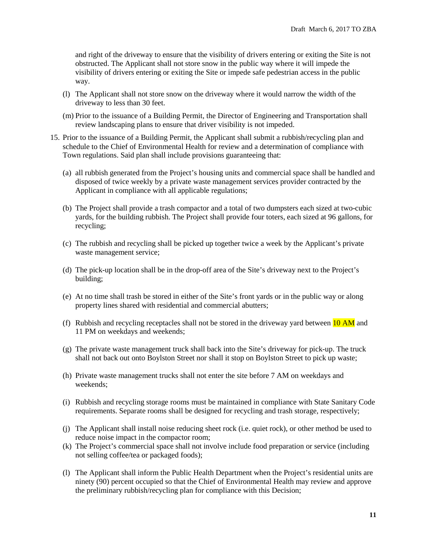and right of the driveway to ensure that the visibility of drivers entering or exiting the Site is not obstructed. The Applicant shall not store snow in the public way where it will impede the visibility of drivers entering or exiting the Site or impede safe pedestrian access in the public way.

- (l) The Applicant shall not store snow on the driveway where it would narrow the width of the driveway to less than 30 feet.
- (m) Prior to the issuance of a Building Permit, the Director of Engineering and Transportation shall review landscaping plans to ensure that driver visibility is not impeded.
- 15. Prior to the issuance of a Building Permit, the Applicant shall submit a rubbish/recycling plan and schedule to the Chief of Environmental Health for review and a determination of compliance with Town regulations. Said plan shall include provisions guaranteeing that:
	- (a) all rubbish generated from the Project's housing units and commercial space shall be handled and disposed of twice weekly by a private waste management services provider contracted by the Applicant in compliance with all applicable regulations;
	- (b) The Project shall provide a trash compactor and a total of two dumpsters each sized at two-cubic yards, for the building rubbish. The Project shall provide four toters, each sized at 96 gallons, for recycling;
	- (c) The rubbish and recycling shall be picked up together twice a week by the Applicant's private waste management service;
	- (d) The pick-up location shall be in the drop-off area of the Site's driveway next to the Project's building;
	- (e) At no time shall trash be stored in either of the Site's front yards or in the public way or along property lines shared with residential and commercial abutters;
	- (f) Rubbish and recycling receptacles shall not be stored in the driveway yard between  $10 \text{ AM}$  and 11 PM on weekdays and weekends;
	- (g) The private waste management truck shall back into the Site's driveway for pick-up. The truck shall not back out onto Boylston Street nor shall it stop on Boylston Street to pick up waste;
	- (h) Private waste management trucks shall not enter the site before 7 AM on weekdays and weekends;
	- (i) Rubbish and recycling storage rooms must be maintained in compliance with State Sanitary Code requirements. Separate rooms shall be designed for recycling and trash storage, respectively;
	- (j) The Applicant shall install noise reducing sheet rock (i.e. quiet rock), or other method be used to reduce noise impact in the compactor room;
	- (k) The Project's commercial space shall not involve include food preparation or service (including not selling coffee/tea or packaged foods);
	- (l) The Applicant shall inform the Public Health Department when the Project's residential units are ninety (90) percent occupied so that the Chief of Environmental Health may review and approve the preliminary rubbish/recycling plan for compliance with this Decision;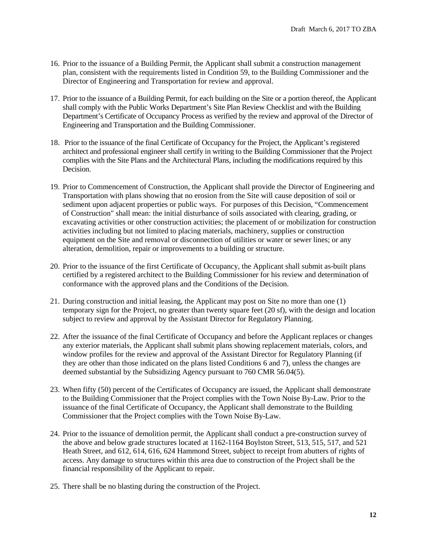- 16. Prior to the issuance of a Building Permit, the Applicant shall submit a construction management plan, consistent with the requirements listed in Condition 59, to the Building Commissioner and the Director of Engineering and Transportation for review and approval.
- 17. Prior to the issuance of a Building Permit, for each building on the Site or a portion thereof, the Applicant shall comply with the Public Works Department's Site Plan Review Checklist and with the Building Department's Certificate of Occupancy Process as verified by the review and approval of the Director of Engineering and Transportation and the Building Commissioner.
- 18. Prior to the issuance of the final Certificate of Occupancy for the Project, the Applicant's registered architect and professional engineer shall certify in writing to the Building Commissioner that the Project complies with the Site Plans and the Architectural Plans, including the modifications required by this Decision.
- 19. Prior to Commencement of Construction, the Applicant shall provide the Director of Engineering and Transportation with plans showing that no erosion from the Site will cause deposition of soil or sediment upon adjacent properties or public ways. For purposes of this Decision, "Commencement of Construction" shall mean: the initial disturbance of soils associated with clearing, grading, or excavating activities or other construction activities; the placement of or mobilization for construction activities including but not limited to placing materials, machinery, supplies or construction equipment on the Site and removal or disconnection of utilities or water or sewer lines; or any alteration, demolition, repair or improvements to a building or structure.
- 20. Prior to the issuance of the first Certificate of Occupancy, the Applicant shall submit as-built plans certified by a registered architect to the Building Commissioner for his review and determination of conformance with the approved plans and the Conditions of the Decision.
- 21. During construction and initial leasing, the Applicant may post on Site no more than one (1) temporary sign for the Project, no greater than twenty square feet (20 sf), with the design and location subject to review and approval by the Assistant Director for Regulatory Planning.
- 22. After the issuance of the final Certificate of Occupancy and before the Applicant replaces or changes any exterior materials, the Applicant shall submit plans showing replacement materials, colors, and window profiles for the review and approval of the Assistant Director for Regulatory Planning (if they are other than those indicated on the plans listed Conditions 6 and 7), unless the changes are deemed substantial by the Subsidizing Agency pursuant to 760 CMR 56.04(5).
- 23. When fifty (50) percent of the Certificates of Occupancy are issued, the Applicant shall demonstrate to the Building Commissioner that the Project complies with the Town Noise By-Law. Prior to the issuance of the final Certificate of Occupancy, the Applicant shall demonstrate to the Building Commissioner that the Project complies with the Town Noise By-Law.
- 24. Prior to the issuance of demolition permit, the Applicant shall conduct a pre-construction survey of the above and below grade structures located at 1162-1164 Boylston Street, 513, 515, 517, and 521 Heath Street, and 612, 614, 616, 624 Hammond Street, subject to receipt from abutters of rights of access. Any damage to structures within this area due to construction of the Project shall be the financial responsibility of the Applicant to repair.
- 25. There shall be no blasting during the construction of the Project.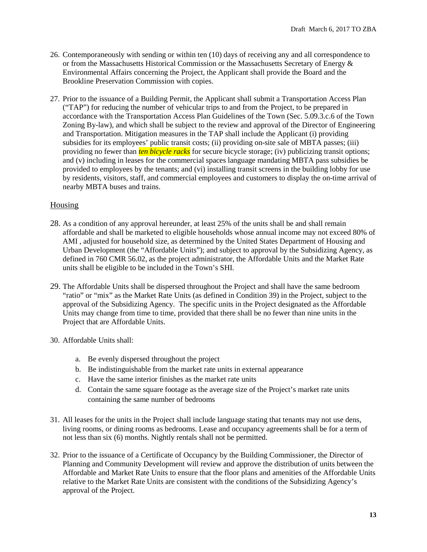- 26. Contemporaneously with sending or within ten (10) days of receiving any and all correspondence to or from the Massachusetts Historical Commission or the Massachusetts Secretary of Energy  $\&$ Environmental Affairs concerning the Project, the Applicant shall provide the Board and the Brookline Preservation Commission with copies.
- 27. Prior to the issuance of a Building Permit, the Applicant shall submit a Transportation Access Plan ("TAP") for reducing the number of vehicular trips to and from the Project, to be prepared in accordance with the Transportation Access Plan Guidelines of the Town (Sec. 5.09.3.c.6 of the Town Zoning By-law), and which shall be subject to the review and approval of the Director of Engineering and Transportation. Mitigation measures in the TAP shall include the Applicant (i) providing subsidies for its employees' public transit costs; (ii) providing on-site sale of MBTA passes; (iii) providing no fewer than *ten bicycle racks* for secure bicycle storage; (iv) publicizing transit options; and (v) including in leases for the commercial spaces language mandating MBTA pass subsidies be provided to employees by the tenants; and (vi) installing transit screens in the building lobby for use by residents, visitors, staff, and commercial employees and customers to display the on-time arrival of nearby MBTA buses and trains.

# Housing

- 28. As a condition of any approval hereunder, at least 25% of the units shall be and shall remain affordable and shall be marketed to eligible households whose annual income may not exceed 80% of AMI , adjusted for household size, as determined by the United States Department of Housing and Urban Development (the "Affordable Units"); and subject to approval by the Subsidizing Agency, as defined in 760 CMR 56.02, as the project administrator, the Affordable Units and the Market Rate units shall be eligible to be included in the Town's SHI.
- 29. The Affordable Units shall be dispersed throughout the Project and shall have the same bedroom "ratio" or "mix" as the Market Rate Units (as defined in Condition 39) in the Project, subject to the approval of the Subsidizing Agency. The specific units in the Project designated as the Affordable Units may change from time to time, provided that there shall be no fewer than nine units in the Project that are Affordable Units.
- 30. Affordable Units shall:
	- a. Be evenly dispersed throughout the project
	- b. Be indistinguishable from the market rate units in external appearance
	- c. Have the same interior finishes as the market rate units
	- d. Contain the same square footage as the average size of the Project's market rate units containing the same number of bedrooms
- 31. All leases for the units in the Project shall include language stating that tenants may not use dens, living rooms, or dining rooms as bedrooms. Lease and occupancy agreements shall be for a term of not less than six (6) months. Nightly rentals shall not be permitted.
- 32. Prior to the issuance of a Certificate of Occupancy by the Building Commissioner, the Director of Planning and Community Development will review and approve the distribution of units between the Affordable and Market Rate Units to ensure that the floor plans and amenities of the Affordable Units relative to the Market Rate Units are consistent with the conditions of the Subsidizing Agency's approval of the Project.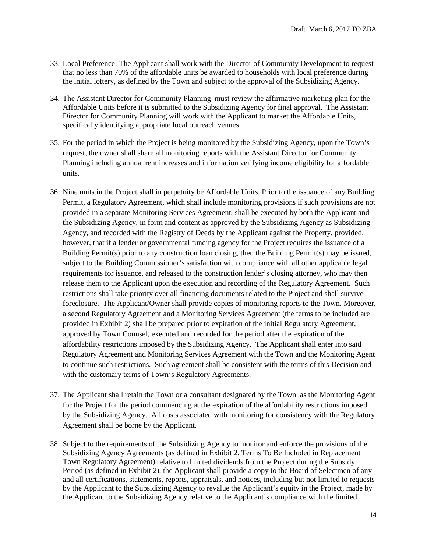- 33. Local Preference: The Applicant shall work with the Director of Community Development to request that no less than 70% of the affordable units be awarded to households with local preference during the initial lottery, as defined by the Town and subject to the approval of the Subsidizing Agency.
- 34. The Assistant Director for Community Planning must review the affirmative marketing plan for the Affordable Units before it is submitted to the Subsidizing Agency for final approval. The Assistant Director for Community Planning will work with the Applicant to market the Affordable Units, specifically identifying appropriate local outreach venues.
- 35. For the period in which the Project is being monitored by the Subsidizing Agency, upon the Town's request, the owner shall share all monitoring reports with the Assistant Director for Community Planning including annual rent increases and information verifying income eligibility for affordable units.
- 36. Nine units in the Project shall in perpetuity be Affordable Units. Prior to the issuance of any Building Permit, a Regulatory Agreement, which shall include monitoring provisions if such provisions are not provided in a separate Monitoring Services Agreement, shall be executed by both the Applicant and the Subsidizing Agency, in form and content as approved by the Subsidizing Agency as Subsidizing Agency, and recorded with the Registry of Deeds by the Applicant against the Property, provided, however, that if a lender or governmental funding agency for the Project requires the issuance of a Building Permit(s) prior to any construction loan closing, then the Building Permit(s) may be issued, subject to the Building Commissioner's satisfaction with compliance with all other applicable legal requirements for issuance, and released to the construction lender's closing attorney, who may then release them to the Applicant upon the execution and recording of the Regulatory Agreement. Such restrictions shall take priority over all financing documents related to the Project and shall survive foreclosure. The Applicant/Owner shall provide copies of monitoring reports to the Town. Moreover, a second Regulatory Agreement and a Monitoring Services Agreement (the terms to be included are provided in Exhibit 2) shall be prepared prior to expiration of the initial Regulatory Agreement, approved by Town Counsel, executed and recorded for the period after the expiration of the affordability restrictions imposed by the Subsidizing Agency. The Applicant shall enter into said Regulatory Agreement and Monitoring Services Agreement with the Town and the Monitoring Agent to continue such restrictions. Such agreement shall be consistent with the terms of this Decision and with the customary terms of Town's Regulatory Agreements.
- 37. The Applicant shall retain the Town or a consultant designated by the Town as the Monitoring Agent for the Project for the period commencing at the expiration of the affordability restrictions imposed by the Subsidizing Agency. All costs associated with monitoring for consistency with the Regulatory Agreement shall be borne by the Applicant.
- 38. Subject to the requirements of the Subsidizing Agency to monitor and enforce the provisions of the Subsidizing Agency Agreements (as defined in Exhibit 2, Terms To Be Included in Replacement Town Regulatory Agreement) relative to limited dividends from the Project during the Subsidy Period (as defined in Exhibit 2), the Applicant shall provide a copy to the Board of Selectmen of any and all certifications, statements, reports, appraisals, and notices, including but not limited to requests by the Applicant to the Subsidizing Agency to revalue the Applicant's equity in the Project, made by the Applicant to the Subsidizing Agency relative to the Applicant's compliance with the limited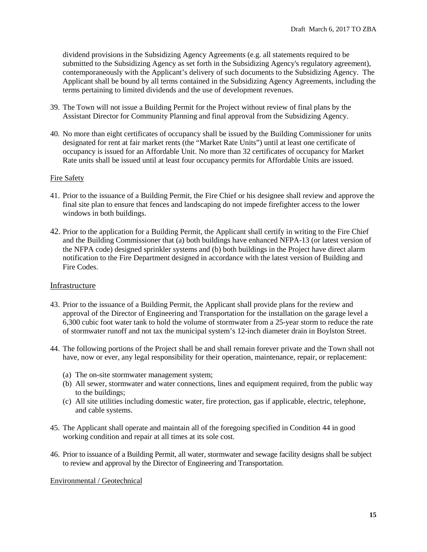dividend provisions in the Subsidizing Agency Agreements (e.g. all statements required to be submitted to the Subsidizing Agency as set forth in the Subsidizing Agency's regulatory agreement), contemporaneously with the Applicant's delivery of such documents to the Subsidizing Agency. The Applicant shall be bound by all terms contained in the Subsidizing Agency Agreements, including the terms pertaining to limited dividends and the use of development revenues.

- 39. The Town will not issue a Building Permit for the Project without review of final plans by the Assistant Director for Community Planning and final approval from the Subsidizing Agency.
- 40. No more than eight certificates of occupancy shall be issued by the Building Commissioner for units designated for rent at fair market rents (the "Market Rate Units") until at least one certificate of occupancy is issued for an Affordable Unit. No more than 32 certificates of occupancy for Market Rate units shall be issued until at least four occupancy permits for Affordable Units are issued.

### Fire Safety

- 41. Prior to the issuance of a Building Permit, the Fire Chief or his designee shall review and approve the final site plan to ensure that fences and landscaping do not impede firefighter access to the lower windows in both buildings.
- 42. Prior to the application for a Building Permit, the Applicant shall certify in writing to the Fire Chief and the Building Commissioner that (a) both buildings have enhanced NFPA-13 (or latest version of the NFPA code) designed sprinkler systems and (b) both buildings in the Project have direct alarm notification to the Fire Department designed in accordance with the latest version of Building and Fire Codes.

### Infrastructure

- 43. Prior to the issuance of a Building Permit, the Applicant shall provide plans for the review and approval of the Director of Engineering and Transportation for the installation on the garage level a 6,300 cubic foot water tank to hold the volume of stormwater from a 25-year storm to reduce the rate of stormwater runoff and not tax the municipal system's 12-inch diameter drain in Boylston Street.
- 44. The following portions of the Project shall be and shall remain forever private and the Town shall not have, now or ever, any legal responsibility for their operation, maintenance, repair, or replacement:
	- (a) The on-site stormwater management system;
	- (b) All sewer, stormwater and water connections, lines and equipment required, from the public way to the buildings;
	- (c) All site utilities including domestic water, fire protection, gas if applicable, electric, telephone, and cable systems.
- 45. The Applicant shall operate and maintain all of the foregoing specified in Condition 44 in good working condition and repair at all times at its sole cost.
- 46. Prior to issuance of a Building Permit, all water, stormwater and sewage facility designs shall be subject to review and approval by the Director of Engineering and Transportation.

### Environmental / Geotechnical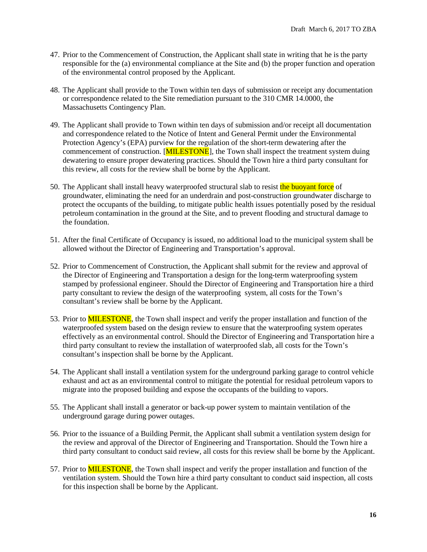- 47. Prior to the Commencement of Construction, the Applicant shall state in writing that he is the party responsible for the (a) environmental compliance at the Site and (b) the proper function and operation of the environmental control proposed by the Applicant.
- 48. The Applicant shall provide to the Town within ten days of submission or receipt any documentation or correspondence related to the Site remediation pursuant to the 310 CMR 14.0000, the Massachusetts Contingency Plan.
- 49. The Applicant shall provide to Town within ten days of submission and/or receipt all documentation and correspondence related to the Notice of Intent and General Permit under the Environmental Protection Agency's (EPA) purview for the regulation of the short-term dewatering after the commencement of construction. [MILESTONE], the Town shall inspect the treatment system duing dewatering to ensure proper dewatering practices. Should the Town hire a third party consultant for this review, all costs for the review shall be borne by the Applicant.
- 50. The Applicant shall install heavy waterproofed structural slab to resist the buoyant force of groundwater, eliminating the need for an underdrain and post-construction groundwater discharge to protect the occupants of the building, to mitigate public health issues potentially posed by the residual petroleum contamination in the ground at the Site, and to prevent flooding and structural damage to the foundation.
- 51. After the final Certificate of Occupancy is issued, no additional load to the municipal system shall be allowed without the Director of Engineering and Transportation's approval.
- 52. Prior to Commencement of Construction, the Applicant shall submit for the review and approval of the Director of Engineering and Transportation a design for the long-term waterproofing system stamped by professional engineer. Should the Director of Engineering and Transportation hire a third party consultant to review the design of the waterproofing system, all costs for the Town's consultant's review shall be borne by the Applicant.
- 53. Prior to MILESTONE, the Town shall inspect and verify the proper installation and function of the waterproofed system based on the design review to ensure that the waterproofing system operates effectively as an environmental control. Should the Director of Engineering and Transportation hire a third party consultant to review the installation of waterproofed slab, all costs for the Town's consultant's inspection shall be borne by the Applicant.
- 54. The Applicant shall install a ventilation system for the underground parking garage to control vehicle exhaust and act as an environmental control to mitigate the potential for residual petroleum vapors to migrate into the proposed building and expose the occupants of the building to vapors.
- 55. The Applicant shall install a generator or back-up power system to maintain ventilation of the underground garage during power outages.
- 56. Prior to the issuance of a Building Permit, the Applicant shall submit a ventilation system design for the review and approval of the Director of Engineering and Transportation. Should the Town hire a third party consultant to conduct said review, all costs for this review shall be borne by the Applicant.
- 57. Prior to MILESTONE, the Town shall inspect and verify the proper installation and function of the ventilation system. Should the Town hire a third party consultant to conduct said inspection, all costs for this inspection shall be borne by the Applicant.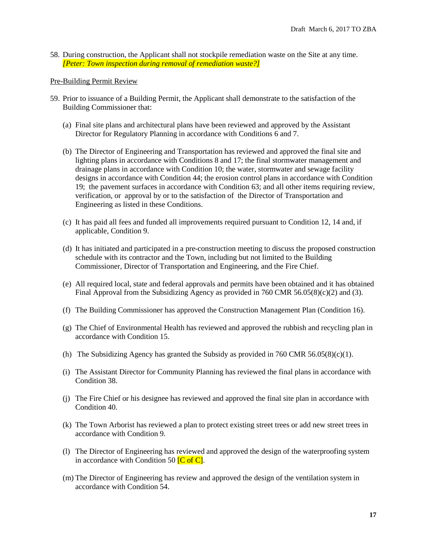58. During construction, the Applicant shall not stockpile remediation waste on the Site at any time. *[Peter: Town inspection during removal of remediation waste?]*

#### Pre-Building Permit Review

- 59. Prior to issuance of a Building Permit, the Applicant shall demonstrate to the satisfaction of the Building Commissioner that:
	- (a) Final site plans and architectural plans have been reviewed and approved by the Assistant Director for Regulatory Planning in accordance with Conditions 6 and 7.
	- (b) The Director of Engineering and Transportation has reviewed and approved the final site and lighting plans in accordance with Conditions 8 and 17; the final stormwater management and drainage plans in accordance with Condition 10; the water, stormwater and sewage facility designs in accordance with Condition 44; the erosion control plans in accordance with Condition 19; the pavement surfaces in accordance with Condition 63; and all other items requiring review, verification, or approval by or to the satisfaction of the Director of Transportation and Engineering as listed in these Conditions.
	- (c) It has paid all fees and funded all improvements required pursuant to Condition 12, 14 and, if applicable, Condition 9.
	- (d) It has initiated and participated in a pre-construction meeting to discuss the proposed construction schedule with its contractor and the Town, including but not limited to the Building Commissioner, Director of Transportation and Engineering, and the Fire Chief.
	- (e) All required local, state and federal approvals and permits have been obtained and it has obtained Final Approval from the Subsidizing Agency as provided in 760 CMR  $56.05(8)(c)(2)$  and (3).
	- (f) The Building Commissioner has approved the Construction Management Plan (Condition 16).
	- (g) The Chief of Environmental Health has reviewed and approved the rubbish and recycling plan in accordance with Condition 15.
	- (h) The Subsidizing Agency has granted the Subsidy as provided in 760 CMR 56.05(8)(c)(1).
	- (i) The Assistant Director for Community Planning has reviewed the final plans in accordance with Condition 38.
	- (j) The Fire Chief or his designee has reviewed and approved the final site plan in accordance with Condition 40.
	- (k) The Town Arborist has reviewed a plan to protect existing street trees or add new street trees in accordance with Condition 9.
	- (l) The Director of Engineering has reviewed and approved the design of the waterproofing system in accordance with Condition 50  $\overline{C}$  of  $\overline{C}$ .
	- (m) The Director of Engineering has review and approved the design of the ventilation system in accordance with Condition 54.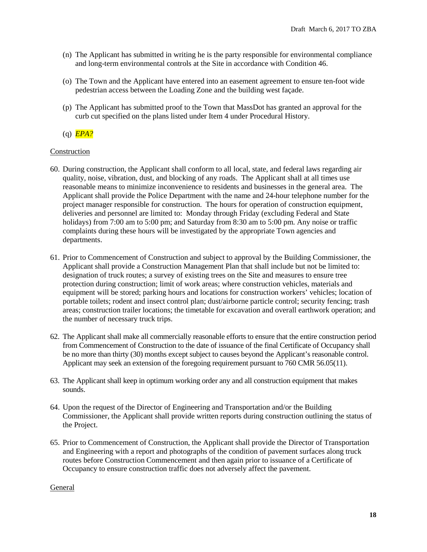- (n) The Applicant has submitted in writing he is the party responsible for environmental compliance and long-term environmental controls at the Site in accordance with Condition 46.
- (o) The Town and the Applicant have entered into an easement agreement to ensure ten-foot wide pedestrian access between the Loading Zone and the building west façade.
- (p) The Applicant has submitted proof to the Town that MassDot has granted an approval for the curb cut specified on the plans listed under Item 4 under Procedural History.

# (q) *EPA?*

# Construction

- 60. During construction, the Applicant shall conform to all local, state, and federal laws regarding air quality, noise, vibration, dust, and blocking of any roads. The Applicant shall at all times use reasonable means to minimize inconvenience to residents and businesses in the general area. The Applicant shall provide the Police Department with the name and 24-hour telephone number for the project manager responsible for construction. The hours for operation of construction equipment, deliveries and personnel are limited to: Monday through Friday (excluding Federal and State holidays) from 7:00 am to 5:00 pm; and Saturday from 8:30 am to 5:00 pm. Any noise or traffic complaints during these hours will be investigated by the appropriate Town agencies and departments.
- 61. Prior to Commencement of Construction and subject to approval by the Building Commissioner, the Applicant shall provide a Construction Management Plan that shall include but not be limited to: designation of truck routes; a survey of existing trees on the Site and measures to ensure tree protection during construction; limit of work areas; where construction vehicles, materials and equipment will be stored; parking hours and locations for construction workers' vehicles; location of portable toilets; rodent and insect control plan; dust/airborne particle control; security fencing; trash areas; construction trailer locations; the timetable for excavation and overall earthwork operation; and the number of necessary truck trips.
- 62. The Applicant shall make all commercially reasonable efforts to ensure that the entire construction period from Commencement of Construction to the date of issuance of the final Certificate of Occupancy shall be no more than thirty (30) months except subject to causes beyond the Applicant's reasonable control. Applicant may seek an extension of the foregoing requirement pursuant to 760 CMR 56.05(11).
- 63. The Applicant shall keep in optimum working order any and all construction equipment that makes sounds.
- 64. Upon the request of the Director of Engineering and Transportation and/or the Building Commissioner, the Applicant shall provide written reports during construction outlining the status of the Project.
- 65. Prior to Commencement of Construction, the Applicant shall provide the Director of Transportation and Engineering with a report and photographs of the condition of pavement surfaces along truck routes before Construction Commencement and then again prior to issuance of a Certificate of Occupancy to ensure construction traffic does not adversely affect the pavement.

### General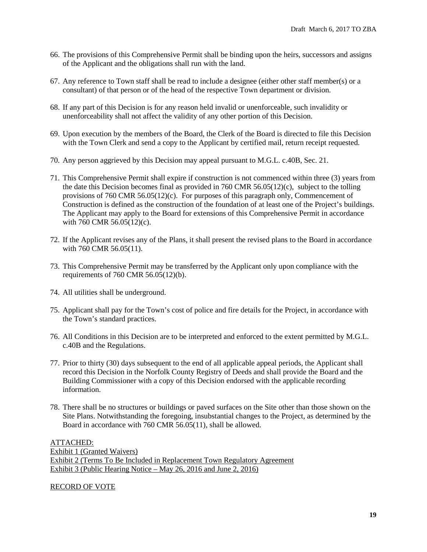- 66. The provisions of this Comprehensive Permit shall be binding upon the heirs, successors and assigns of the Applicant and the obligations shall run with the land.
- 67. Any reference to Town staff shall be read to include a designee (either other staff member(s) or a consultant) of that person or of the head of the respective Town department or division.
- 68. If any part of this Decision is for any reason held invalid or unenforceable, such invalidity or unenforceability shall not affect the validity of any other portion of this Decision.
- 69. Upon execution by the members of the Board, the Clerk of the Board is directed to file this Decision with the Town Clerk and send a copy to the Applicant by certified mail, return receipt requested.
- 70. Any person aggrieved by this Decision may appeal pursuant to M.G.L. c.40B, Sec. 21.
- 71. This Comprehensive Permit shall expire if construction is not commenced within three (3) years from the date this Decision becomes final as provided in 760 CMR 56.05(12)(c), subject to the tolling provisions of 760 CMR 56.05(12)(c). For purposes of this paragraph only, Commencement of Construction is defined as the construction of the foundation of at least one of the Project's buildings. The Applicant may apply to the Board for extensions of this Comprehensive Permit in accordance with 760 CMR 56.05(12)(c).
- 72. If the Applicant revises any of the Plans, it shall present the revised plans to the Board in accordance with 760 CMR 56.05(11).
- 73. This Comprehensive Permit may be transferred by the Applicant only upon compliance with the requirements of 760 CMR 56.05(12)(b).
- 74. All utilities shall be underground.
- 75. Applicant shall pay for the Town's cost of police and fire details for the Project, in accordance with the Town's standard practices.
- 76. All Conditions in this Decision are to be interpreted and enforced to the extent permitted by M.G.L. c.40B and the Regulations.
- 77. Prior to thirty (30) days subsequent to the end of all applicable appeal periods, the Applicant shall record this Decision in the Norfolk County Registry of Deeds and shall provide the Board and the Building Commissioner with a copy of this Decision endorsed with the applicable recording information.
- 78. There shall be no structures or buildings or paved surfaces on the Site other than those shown on the Site Plans. Notwithstanding the foregoing, insubstantial changes to the Project, as determined by the Board in accordance with 760 CMR 56.05(11), shall be allowed.

ATTACHED: Exhibit 1 (Granted Waivers) Exhibit 2 (Terms To Be Included in Replacement Town Regulatory Agreement Exhibit 3 (Public Hearing Notice – May 26, 2016 and June 2, 2016)

RECORD OF VOTE